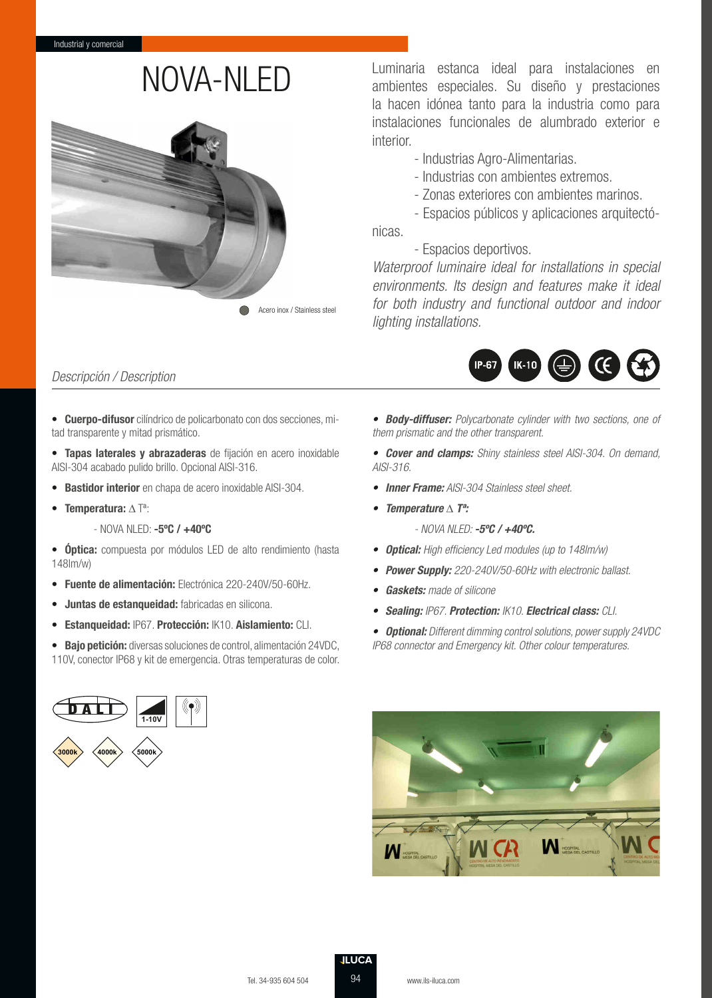

NOVA-NLED Luminaria estanca ideal para instalaciones en ambientes especiales. Su diseño y prestaciones la hacen idónea tanto para la industria como para instalaciones funcionales de alumbrado exterior e interior.

- Industrias Agro-Alimentarias.
- Industrias con ambientes extremos.
- Zonas exteriores con ambientes marinos.
- Espacios públicos y aplicaciones arquitectónicas.

### - Espacios deportivos.

Waterproof luminaire ideal for installations in special environments. Its design and features make it ideal for both industry and functional outdoor and indoor lighting installations.

# Descripción / Description

**• Cuerpo-difusor** cilíndrico de policarbonato con dos secciones, mitad transparente y mitad prismático.

**• Tapas laterales y abrazaderas** de fijación en acero inoxidable AISI-304 acabado pulido brillo. Opcional AISI-316.

- **Bastidor interior** en chapa de acero inoxidable AISI-304.
- **Temperatura:** ∆ Tª:
	- NOVA NLED: **-5ºC / +40ºC**

**• Óptica:** compuesta por módulos LED de alto rendimiento (hasta 148lm/w)

- **Fuente de alimentación:** Electrónica 220-240V/50-60Hz.
- **Juntas de estanqueidad:** fabricadas en silicona.
- **Estanqueidad:** IP67. **Protección:** IK10. **Aislamiento:** CLI.

**• Bajo petición:** diversas soluciones de control, alimentación 24VDC, 110V, conector IP68 y kit de emergencia. Otras temperaturas de color.



**• Body-diffuser:** Polycarbonate cylinder with two sections, one of them prismatic and the other transparent.

 $IK-10$ 

 $\mathbf G$ 

**• Cover and clamps:** Shiny stainless steel AISI-304. On demand, AISI-316.

**• Inner Frame:** AISI-304 Stainless steel sheet.

**IP-67** 

- **Temperature** ∆ **Tª:**
	- NOVA NLED: **-5ºC / +40ºC.**
- **Optical:** High efficiency Led modules (up to 148lm/w)
- **Power Supply:** 220-240V/50-60Hz with electronic ballast.
- **Gaskets:** made of silicone
- **Sealing:** IP67. **Protection:** IK10. **Electrical class:** CLI.

**• Optional:** Different dimming control solutions, power supply 24VDC IP68 connector and Emergency kit. Other colour temperatures.